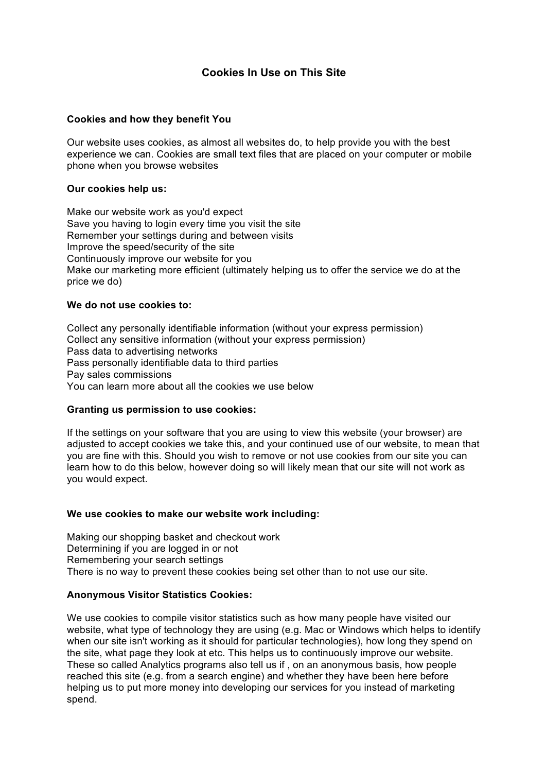# **Cookies In Use on This Site**

### **Cookies and how they benefit You**

Our website uses cookies, as almost all websites do, to help provide you with the best experience we can. Cookies are small text files that are placed on your computer or mobile phone when you browse websites

### **Our cookies help us:**

Make our website work as you'd expect Save you having to login every time you visit the site Remember your settings during and between visits Improve the speed/security of the site Continuously improve our website for you Make our marketing more efficient (ultimately helping us to offer the service we do at the price we do)

### **We do not use cookies to:**

Collect any personally identifiable information (without your express permission) Collect any sensitive information (without your express permission) Pass data to advertising networks Pass personally identifiable data to third parties Pay sales commissions You can learn more about all the cookies we use below

### **Granting us permission to use cookies:**

If the settings on your software that you are using to view this website (your browser) are adjusted to accept cookies we take this, and your continued use of our website, to mean that you are fine with this. Should you wish to remove or not use cookies from our site you can learn how to do this below, however doing so will likely mean that our site will not work as you would expect.

#### **We use cookies to make our website work including:**

Making our shopping basket and checkout work Determining if you are logged in or not Remembering your search settings There is no way to prevent these cookies being set other than to not use our site.

### **Anonymous Visitor Statistics Cookies:**

We use cookies to compile visitor statistics such as how many people have visited our website, what type of technology they are using (e.g. Mac or Windows which helps to identify when our site isn't working as it should for particular technologies), how long they spend on the site, what page they look at etc. This helps us to continuously improve our website. These so called Analytics programs also tell us if , on an anonymous basis, how people reached this site (e.g. from a search engine) and whether they have been here before helping us to put more money into developing our services for you instead of marketing spend.